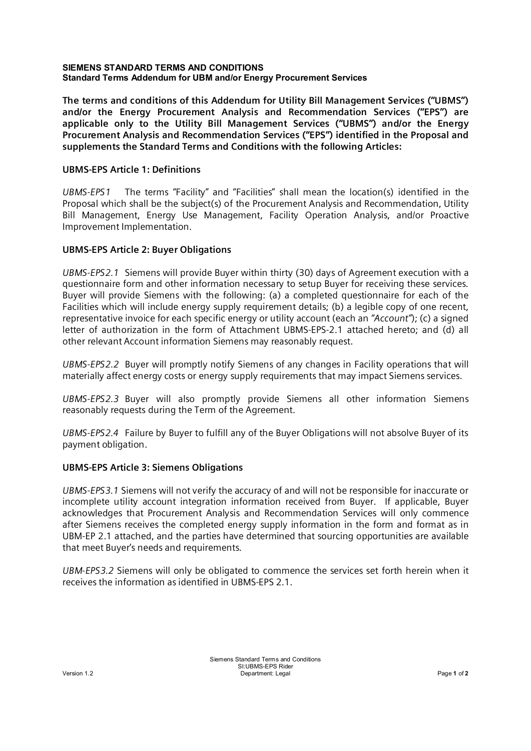#### **SIEMENS STANDARD TERMS AND CONDITIONS Standard Terms Addendum for UBM and/or Energy Procurement Services**

**The terms and conditions of this Addendum for Utility Bill Management Services ("UBMS") and/or the Energy Procurement Analysis and Recommendation Services ("EPS") are applicable only to the Utility Bill Management Services ("UBMS") and/or the Energy Procurement Analysis and Recommendation Services ("EPS") identified in the Proposal and supplements the Standard Terms and Conditions with the following Articles:**

## **UBMS-EPS Article 1: Definitions**

*UBMS-EPS1* The terms "Facility" and "Facilities" shall mean the location(s) identified in the Proposal which shall be the subject(s) of the Procurement Analysis and Recommendation, Utility Bill Management, Energy Use Management, Facility Operation Analysis, and/or Proactive Improvement Implementation.

## **UBMS-EPS Article 2: Buyer Obligations**

*UBMS-EPS2.1* Siemens will provide Buyer within thirty (30) days of Agreement execution with a questionnaire form and other information necessary to setup Buyer for receiving these services. Buyer will provide Siemens with the following: (a) a completed questionnaire for each of the Facilities which will include energy supply requirement details; (b) a legible copy of one recent, representative invoice for each specific energy or utility account (each an *"Account"*); (c) a signed letter of authorization in the form of Attachment UBMS-EPS-2.1 attached hereto; and (d) all other relevant Account information Siemens may reasonably request.

*UBMS-EPS2.2* Buyer will promptly notify Siemens of any changes in Facility operations that will materially affect energy costs or energy supply requirements that may impact Siemens services.

*UBMS-EPS2.3* Buyer will also promptly provide Siemens all other information Siemens reasonably requests during the Term of the Agreement.

*UBMS-EPS2.4* Failure by Buyer to fulfill any of the Buyer Obligations will not absolve Buyer of its payment obligation.

# **UBMS-EPS Article 3: Siemens Obligations**

*UBMS-EPS3.1* Siemens will not verify the accuracy of and will not be responsible for inaccurate or incomplete utility account integration information received from Buyer. If applicable, Buyer acknowledges that Procurement Analysis and Recommendation Services will only commence after Siemens receives the completed energy supply information in the form and format as in UBM-EP 2.1 attached, and the parties have determined that sourcing opportunities are available that meet Buyer's needs and requirements.

*UBM-EPS3.2* Siemens will only be obligated to commence the services set forth herein when it receives the information as identified in UBMS-EPS 2.1.